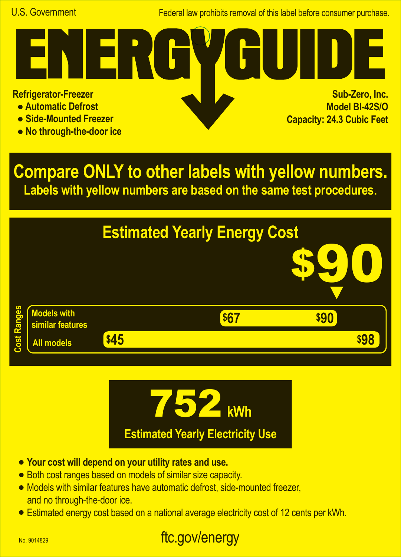Federal law prohibits removal of this label before consumer purchase.

**Refrigerator-Freezer**

- **Automatic Defrost**
- **Side-Mounted Freezer**
- **No through-the-door ice**

<u>r k</u>

**Sub-Zero, Inc. Model BI-42S/O Capacity: 24.3 Cubic Feet A**

**Compare ONLY to other labels with yellow numbers. Labels with yellow numbers are based on the same test procedures.**





- **• Your cost will depend on your utility rates and use.**
- **•** Both cost ranges based on models of similar size capacity.
- **•** Models with similar features have automatic defrost, side-mounted freezer, and no through-the-door ice.
- **•** Estimated energy cost based on a national average electricity cost of 12 cents per kWh.

## ftc.gov/energy